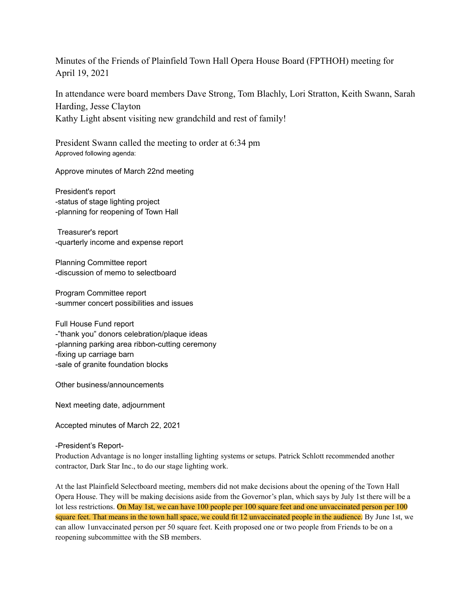Minutes of the Friends of Plainfield Town Hall Opera House Board (FPTHOH) meeting for April 19, 2021

In attendance were board members Dave Strong, Tom Blachly, Lori Stratton, Keith Swann, Sarah Harding, Jesse Clayton Kathy Light absent visiting new grandchild and rest of family!

President Swann called the meeting to order at 6:34 pm Approved following agenda:

Approve minutes of March 22nd meeting

President's report -status of stage lighting project -planning for reopening of Town Hall

Treasurer's report -quarterly income and expense report

Planning Committee report -discussion of memo to selectboard

Program Committee report -summer concert possibilities and issues

Full House Fund report -"thank you" donors celebration/plaque ideas -planning parking area ribbon-cutting ceremony -fixing up carriage barn -sale of granite foundation blocks

Other business/announcements

Next meeting date, adjournment

Accepted minutes of March 22, 2021

-President's Report-

Production Advantage is no longer installing lighting systems or setups. Patrick Schlott recommended another contractor, Dark Star Inc., to do our stage lighting work.

At the last Plainfield Selectboard meeting, members did not make decisions about the opening of the Town Hall Opera House. They will be making decisions aside from the Governor's plan, which says by July 1st there will be a lot less restrictions. On May 1st, we can have 100 people per 100 square feet and one unvaccinated person per 100 square feet. That means in the town hall space, we could fit 12 unvaccinated people in the audience. By June 1st, we can allow 1unvaccinated person per 50 square feet. Keith proposed one or two people from Friends to be on a reopening subcommittee with the SB members.